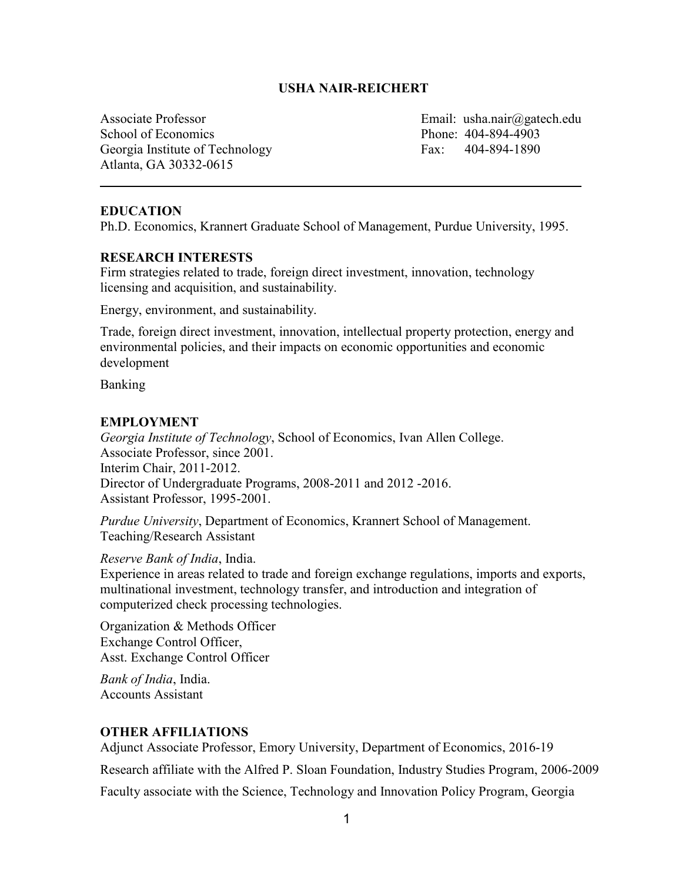# **USHA NAIR-REICHERT**

Associate Professor Email: usha.nair@gatech.edu School of Economics Phone: 404-894-4903 Georgia Institute of Technology Fax: 404-894-1890 Atlanta, GA 30332-0615

#### **EDUCATION**

Ph.D. Economics, Krannert Graduate School of Management, Purdue University, 1995.

#### **RESEARCH INTERESTS**

Firm strategies related to trade, foreign direct investment, innovation, technology licensing and acquisition, and sustainability.

Energy, environment, and sustainability.

Trade, foreign direct investment, innovation, intellectual property protection, energy and environmental policies, and their impacts on economic opportunities and economic development

Banking

#### **EMPLOYMENT**

*Georgia Institute of Technology*, School of Economics, Ivan Allen College. Associate Professor, since 2001. Interim Chair, 2011-2012. Director of Undergraduate Programs, 2008-2011 and 2012 -2016. Assistant Professor, 1995-2001.

*Purdue University*, Department of Economics, Krannert School of Management. Teaching/Research Assistant

*Reserve Bank of India*, India.

Experience in areas related to trade and foreign exchange regulations, imports and exports, multinational investment, technology transfer, and introduction and integration of computerized check processing technologies.

Organization & Methods Officer Exchange Control Officer, Asst. Exchange Control Officer

*Bank of India*, India. Accounts Assistant

#### **OTHER AFFILIATIONS**

Adjunct Associate Professor, Emory University, Department of Economics, 2016-19

Research affiliate with the Alfred P. Sloan Foundation, Industry Studies Program, 2006-2009

Faculty associate with the Science, Technology and Innovation Policy Program, Georgia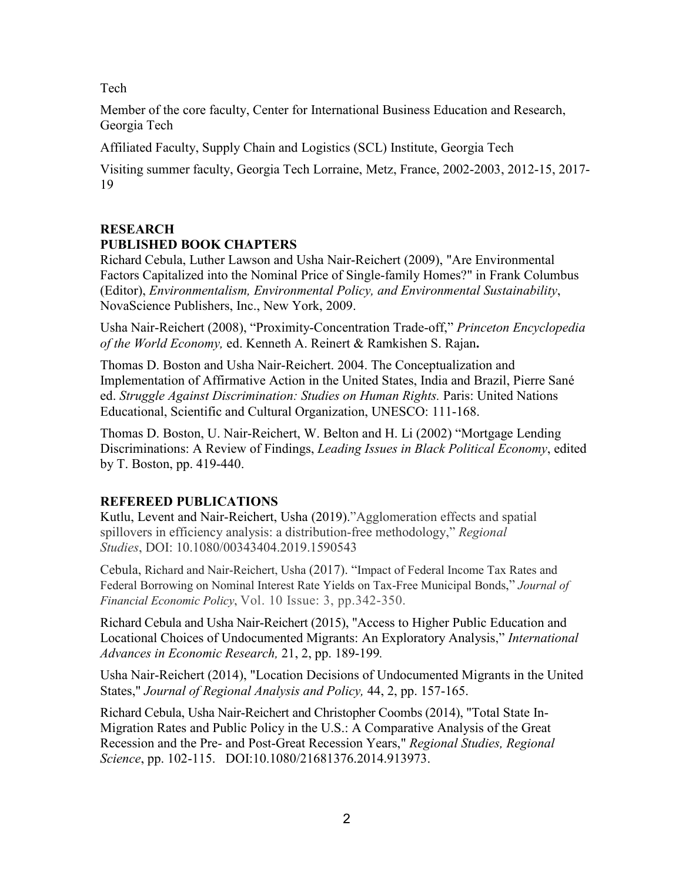Tech

Member of the core faculty, Center for International Business Education and Research, Georgia Tech

Affiliated Faculty, Supply Chain and Logistics (SCL) Institute, Georgia Tech

Visiting summer faculty, Georgia Tech Lorraine, Metz, France, 2002-2003, 2012-15, 2017- 19

# **RESEARCH PUBLISHED BOOK CHAPTERS**

Richard Cebula, Luther Lawson and Usha Nair-Reichert (2009), "Are Environmental Factors Capitalized into the Nominal Price of Single-family Homes?" in Frank Columbus (Editor), *Environmentalism, Environmental Policy, and Environmental Sustainability*, NovaScience Publishers, Inc., New York, 2009.

Usha Nair-Reichert (2008), "Proximity-Concentration Trade-off," *Princeton Encyclopedia of the World Economy,* ed. Kenneth A. Reinert & Ramkishen S. Rajan**.**

Thomas D. Boston and Usha Nair-Reichert. 2004. The Conceptualization and Implementation of Affirmative Action in the United States, India and Brazil, Pierre Sané ed. *Struggle Against Discrimination: Studies on Human Rights.* Paris: United Nations Educational, Scientific and Cultural Organization, UNESCO: 111-168.

Thomas D. Boston, U. Nair-Reichert, W. Belton and H. Li (2002) "Mortgage Lending Discriminations: A Review of Findings, *Leading Issues in Black Political Economy*, edited by T. Boston, pp. 419-440.

# **REFEREED PUBLICATIONS**

Kutlu, Levent and Nair-Reichert, Usha (2019)."Agglomeration effects and spatial spillovers in efficiency analysis: a distribution-free methodology," *Regional Studies*, DOI: [10.1080/00343404.2019.1590543](https://doi.org/10.1080/00343404.2019.1590543)

Cebula, Richard and Nair-Reichert, Usha (2017). "Impact of Federal Income Tax Rates and Federal Borrowing on Nominal Interest Rate Yields on Tax-Free Municipal Bonds," *Journal of Financial Economic Policy*, Vol. 10 Issue: 3, pp.342-350.

Richard Cebula and Usha Nair-Reichert (2015), "Access to Higher Public Education and Locational Choices of Undocumented Migrants: An Exploratory Analysis," *International Advances in Economic Research,* 21, 2, pp. 189-199*.*

Usha Nair-Reichert (2014), "Location Decisions of Undocumented Migrants in the United States," *Journal of Regional Analysis and Policy,* 44, 2, pp. 157-165.

Richard Cebula, Usha Nair-Reichert and Christopher Coombs (2014), "Total State In-Migration Rates and Public Policy in the U.S.: A Comparative Analysis of the Great Recession and the Pre- and Post-Great Recession Years," *Regional Studies, Regional Science*, pp. 102-115. DOI:10.1080/21681376.2014.913973.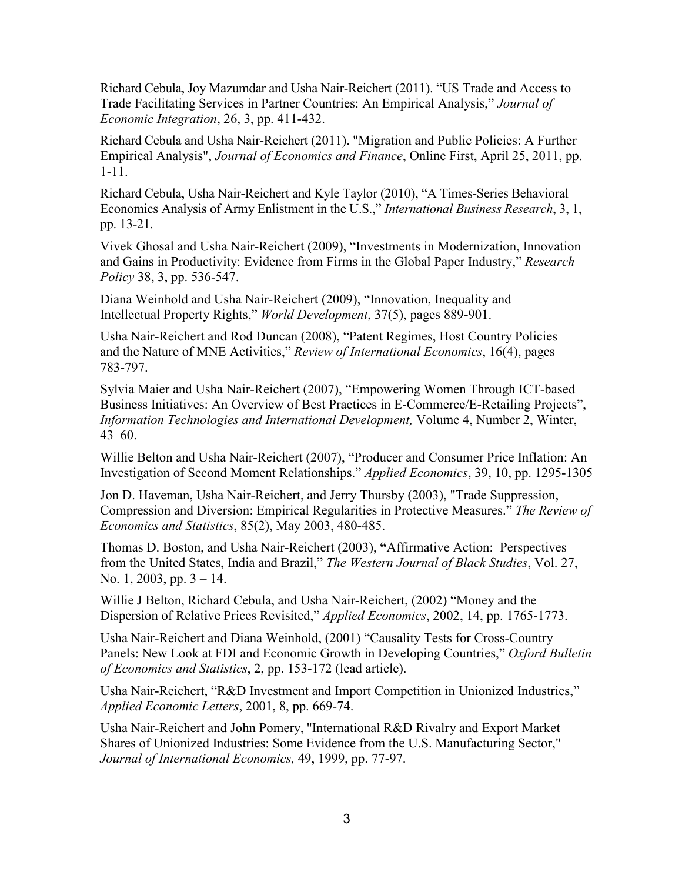Richard Cebula, Joy Mazumdar and Usha Nair-Reichert (2011). "US Trade and Access to Trade Facilitating Services in Partner Countries: An Empirical Analysis," *Journal of Economic Integration*, 26, 3, pp. 411-432.

Richard Cebula and Usha Nair-Reichert (2011). "Migration and Public Policies: A Further Empirical Analysis", *Journal of Economics and Finance*, Online First, April 25, 2011, pp. 1-11.

Richard Cebula, Usha Nair-Reichert and Kyle Taylor (2010), "A Times-Series Behavioral Economics Analysis of Army Enlistment in the U.S.," *International Business Research*, 3, 1, pp. 13-21.

Vivek Ghosal and Usha Nair-Reichert (2009), "Investments in Modernization, Innovation and Gains in Productivity: Evidence from Firms in the Global Paper Industry," *Research Policy* 38, 3, pp. 536-547.

Diana Weinhold and Usha Nair-Reichert (2009), "Innovation, Inequality and Intellectual Property Rights," *World Development*, 37(5), pages 889-901.

Usha Nair-Reichert and Rod Duncan (2008), "Patent Regimes, Host Country Policies and the Nature of MNE Activities," *Review of International Economics*, 16(4), pages 783-797.

Sylvia Maier and Usha Nair-Reichert (2007), "Empowering Women Through ICT-based Business Initiatives: An Overview of Best Practices in E-Commerce/E-Retailing Projects", *Information Technologies and International Development,* Volume 4, Number 2, Winter, 43–60.

Willie Belton and Usha Nair-Reichert (2007), "Producer and Consumer Price Inflation: An Investigation of Second Moment Relationships." *Applied Economics*, 39, 10, pp. 1295-1305

Jon D. Haveman, Usha Nair-Reichert, and Jerry Thursby (2003), "Trade Suppression, Compression and Diversion: Empirical Regularities in Protective Measures." *The Review of Economics and Statistics*, 85(2), May 2003, 480-485.

Thomas D. Boston, and Usha Nair-Reichert (2003), **"**Affirmative Action: Perspectives from the United States, India and Brazil," *The Western Journal of Black Studies*, Vol. 27, No. 1, 2003, pp.  $3 - 14$ .

Willie J Belton, Richard Cebula, and Usha Nair-Reichert, (2002) "Money and the Dispersion of Relative Prices Revisited," *Applied Economics*, 2002, 14, pp. 1765-1773.

Usha Nair-Reichert and Diana Weinhold, (2001) "Causality Tests for Cross-Country Panels: New Look at FDI and Economic Growth in Developing Countries," *Oxford Bulletin of Economics and Statistics*, 2, pp. 153-172 (lead article).

Usha Nair-Reichert, "R&D Investment and Import Competition in Unionized Industries," *Applied Economic Letters*, 2001, 8, pp. 669-74.

Usha Nair-Reichert and John Pomery, "International R&D Rivalry and Export Market Shares of Unionized Industries: Some Evidence from the U.S. Manufacturing Sector," *Journal of International Economics,* 49, 1999, pp. 77-97.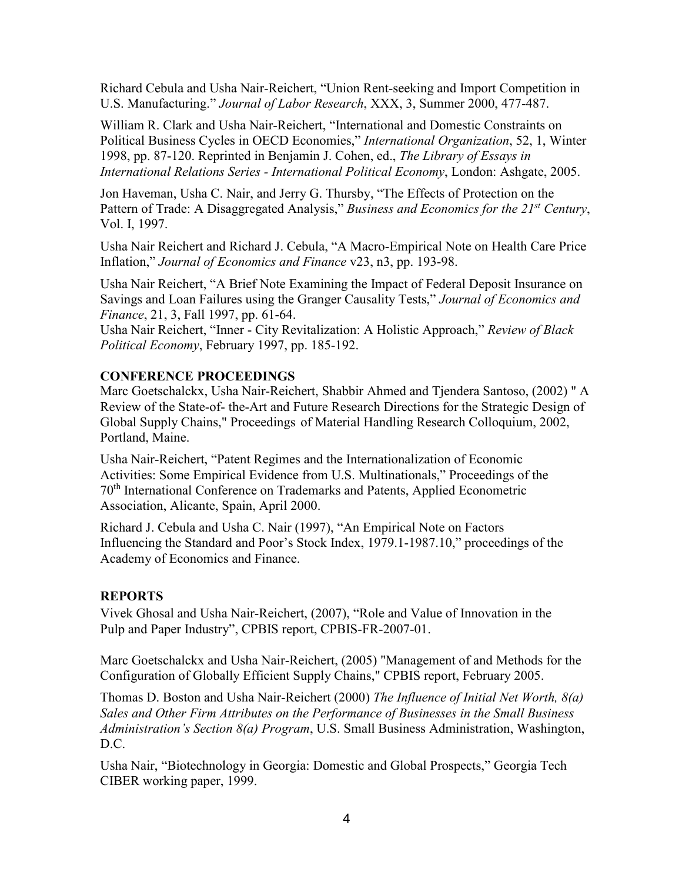Richard Cebula and Usha Nair-Reichert, "Union Rent-seeking and Import Competition in U.S. Manufacturing." *Journal of Labor Research*, XXX, 3, Summer 2000, 477-487.

William R. Clark and Usha Nair-Reichert, "International and Domestic Constraints on Political Business Cycles in OECD Economies," *International Organization*, 52, 1, Winter 1998, pp. 87-120. Reprinted in Benjamin J. Cohen, ed., *The Library of Essays in International Relations Series - International Political Economy*, London: Ashgate, 2005.

Jon Haveman, Usha C. Nair, and Jerry G. Thursby, "The Effects of Protection on the Pattern of Trade: A Disaggregated Analysis," *Business and Economics for the 21st Century*, Vol. I, 1997.

Usha Nair Reichert and Richard J. Cebula, "A Macro-Empirical Note on Health Care Price Inflation," *Journal of Economics and Finance* v23, n3, pp. 193-98.

Usha Nair Reichert, "A Brief Note Examining the Impact of Federal Deposit Insurance on Savings and Loan Failures using the Granger Causality Tests," *Journal of Economics and Finance*, 21, 3, Fall 1997, pp. 61-64.

Usha Nair Reichert, "Inner - City Revitalization: A Holistic Approach," *Review of Black Political Economy*, February 1997, pp. 185-192.

# **CONFERENCE PROCEEDINGS**

Marc Goetschalckx, Usha Nair-Reichert, Shabbir Ahmed and Tjendera Santoso, (2002) " A Review of the State-of- the-Art and Future Research Directions for the Strategic Design of Global Supply Chains," Proceedings of Material Handling Research Colloquium, 2002, Portland, Maine.

Usha Nair-Reichert, "Patent Regimes and the Internationalization of Economic Activities: Some Empirical Evidence from U.S. Multinationals," Proceedings of the 70th International Conference on Trademarks and Patents, Applied Econometric Association, Alicante, Spain, April 2000.

Richard J. Cebula and Usha C. Nair (1997), "An Empirical Note on Factors Influencing the Standard and Poor's Stock Index, 1979.1-1987.10," proceedings of the Academy of Economics and Finance.

# **REPORTS**

Vivek Ghosal and Usha Nair-Reichert, (2007), "Role and Value of Innovation in the Pulp and Paper Industry", CPBIS report, CPBIS-FR-2007-01.

Marc Goetschalckx and Usha Nair-Reichert, (2005) "Management of and Methods for the Configuration of Globally Efficient Supply Chains," CPBIS report, February 2005.

Thomas D. Boston and Usha Nair-Reichert (2000) *The Influence of Initial Net Worth, 8(a) Sales and Other Firm Attributes on the Performance of Businesses in the Small Business Administration's Section 8(a) Program*, U.S. Small Business Administration, Washington, D.C.

Usha Nair, "Biotechnology in Georgia: Domestic and Global Prospects," Georgia Tech CIBER working paper, 1999.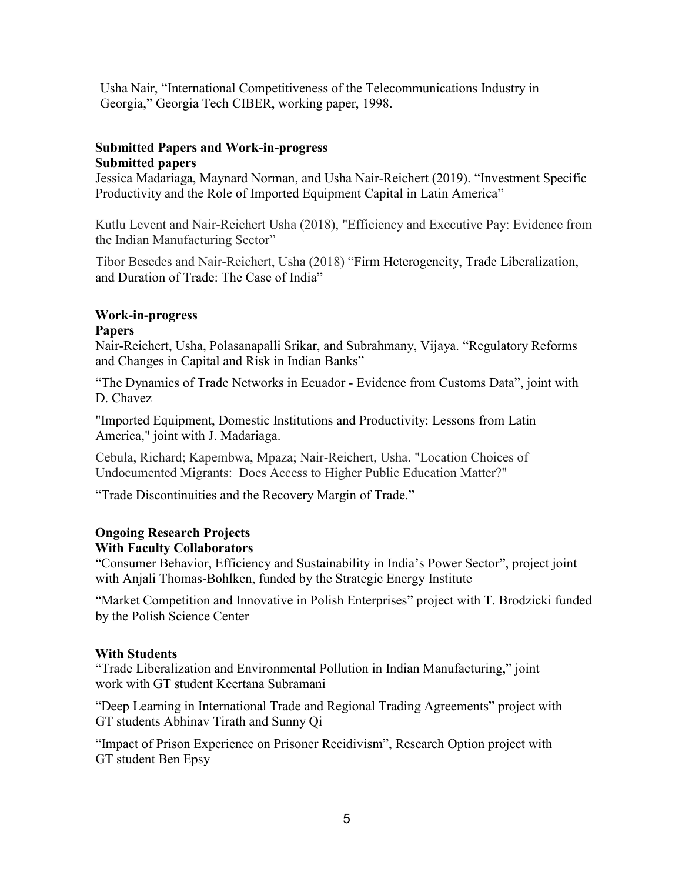Usha Nair, "International Competitiveness of the Telecommunications Industry in Georgia," Georgia Tech CIBER, working paper, 1998.

# **Submitted Papers and Work-in-progress Submitted papers**

Jessica Madariaga, Maynard Norman, and Usha Nair-Reichert (2019). "Investment Specific Productivity and the Role of Imported Equipment Capital in Latin America"

Kutlu Levent and Nair-Reichert Usha (2018), "Efficiency and Executive Pay: Evidence from the Indian Manufacturing Sector"

Tibor Besedes and Nair-Reichert, Usha (2018) "Firm Heterogeneity, Trade Liberalization, and Duration of Trade: The Case of India"

# **Work-in-progress**

# **Papers**

Nair-Reichert, Usha, Polasanapalli Srikar, and Subrahmany, Vijaya. "Regulatory Reforms and Changes in Capital and Risk in Indian Banks"

"The Dynamics of Trade Networks in Ecuador - Evidence from Customs Data", joint with D. Chavez

"Imported Equipment, Domestic Institutions and Productivity: Lessons from Latin America," joint with J. Madariaga.

Cebula, Richard; Kapembwa, Mpaza; Nair-Reichert, Usha. "Location Choices of Undocumented Migrants: Does Access to Higher Public Education Matter?"

"Trade Discontinuities and the Recovery Margin of Trade."

#### **Ongoing Research Projects With Faculty Collaborators**

"Consumer Behavior, Efficiency and Sustainability in India's Power Sector", project joint with Anjali Thomas-Bohlken, funded by the Strategic Energy Institute

"Market Competition and Innovative in Polish Enterprises" project with T. Brodzicki funded by the Polish Science Center

# **With Students**

"Trade Liberalization and Environmental Pollution in Indian Manufacturing," joint work with GT student Keertana Subramani

"Deep Learning in International Trade and Regional Trading Agreements" project with GT students Abhinav Tirath and Sunny Qi

"Impact of Prison Experience on Prisoner Recidivism", Research Option project with GT student Ben Epsy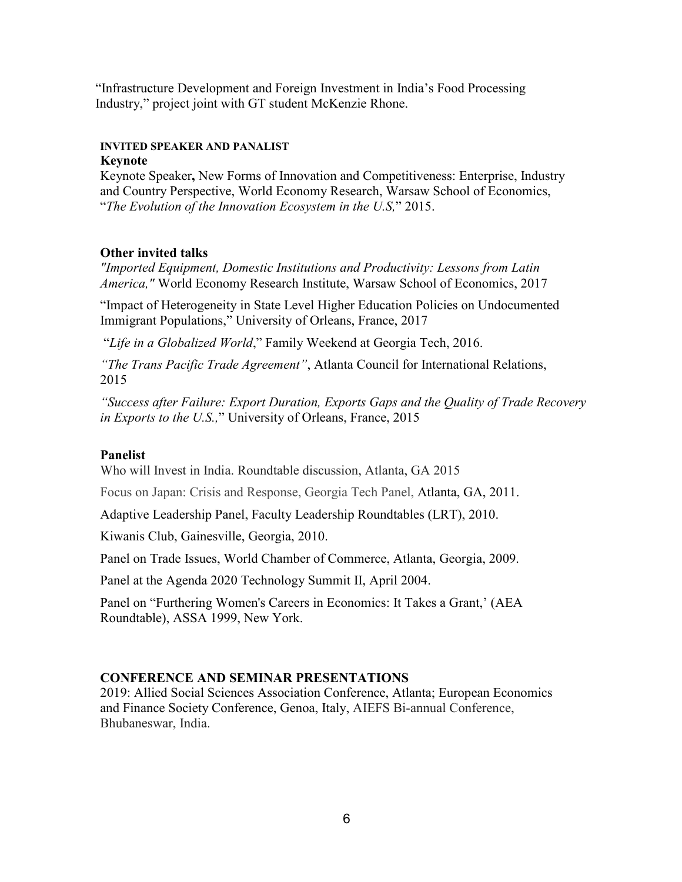"Infrastructure Development and Foreign Investment in India's Food Processing Industry," project joint with GT student McKenzie Rhone.

#### **INVITED SPEAKER AND PANALIST Keynote**

Keynote Speaker**,** New Forms of Innovation and Competitiveness: Enterprise, Industry and Country Perspective, World Economy Research, Warsaw School of Economics, "*The Evolution of the Innovation Ecosystem in the U.S,*" 2015.

# **Other invited talks**

*"Imported Equipment, Domestic Institutions and Productivity: Lessons from Latin America,"* World Economy Research Institute, Warsaw School of Economics, 2017

"Impact of Heterogeneity in State Level Higher Education Policies on Undocumented Immigrant Populations," University of Orleans, France, 2017

"*Life in a Globalized World*," Family Weekend at Georgia Tech, 2016.

*"The Trans Pacific Trade Agreement"*, Atlanta Council for International Relations, 2015

*"Success after Failure: Export Duration, Exports Gaps and the Quality of Trade Recovery in Exports to the U.S.,*" University of Orleans, France, 2015

#### **Panelist**

Who will Invest in India. Roundtable discussion, Atlanta, GA 2015

Focus on Japan: Crisis and Response, Georgia Tech Panel, Atlanta, GA, 2011.

Adaptive Leadership Panel, Faculty Leadership Roundtables (LRT), 2010.

Kiwanis Club, Gainesville, Georgia, 2010.

Panel on Trade Issues, World Chamber of Commerce, Atlanta, Georgia, 2009.

Panel at the Agenda 2020 Technology Summit II, April 2004.

Panel on "Furthering Women's Careers in Economics: It Takes a Grant,' (AEA Roundtable), ASSA 1999, New York.

#### **CONFERENCE AND SEMINAR PRESENTATIONS**

2019: Allied Social Sciences Association Conference, Atlanta; European Economics and Finance Society Conference, Genoa, Italy, AIEFS Bi-annual Conference, Bhubaneswar, India.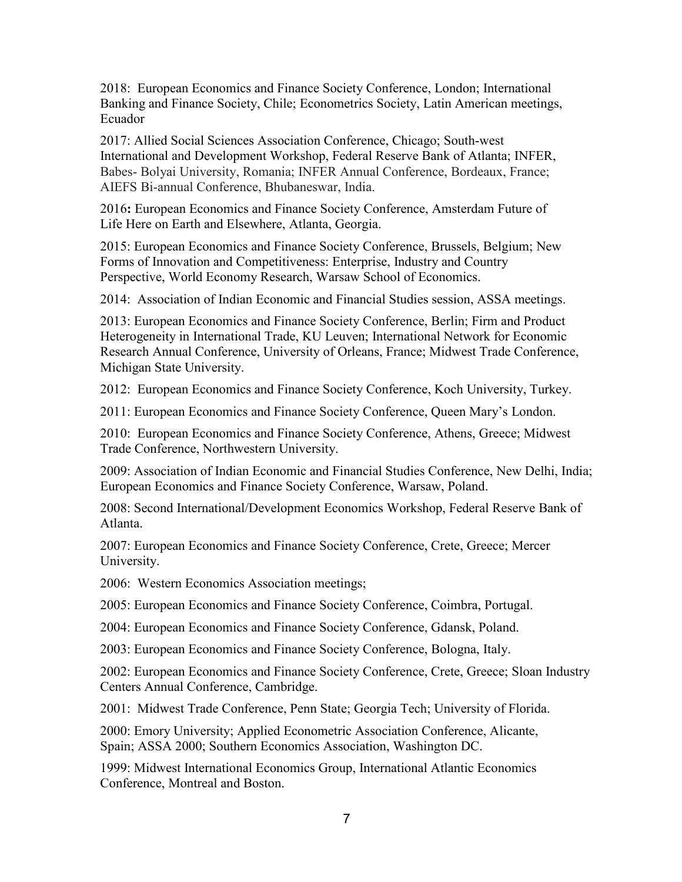2018: European Economics and Finance Society Conference, London; International Banking and Finance Society, Chile; Econometrics Society, Latin American meetings, Ecuador

2017: Allied Social Sciences Association Conference, Chicago; South-west International and Development Workshop, Federal Reserve Bank of Atlanta; INFER, Babes- Bolyai University, Romania; INFER Annual Conference, Bordeaux, France; AIEFS Bi-annual Conference, Bhubaneswar, India.

2016**:** European Economics and Finance Society Conference, Amsterdam Future of Life Here on Earth and Elsewhere, Atlanta, Georgia.

2015: European Economics and Finance Society Conference, Brussels, Belgium; New Forms of Innovation and Competitiveness: Enterprise, Industry and Country Perspective, World Economy Research, Warsaw School of Economics.

2014: Association of Indian Economic and Financial Studies session, ASSA meetings.

2013: European Economics and Finance Society Conference, Berlin; Firm and Product Heterogeneity in International Trade, KU Leuven; International Network for Economic Research Annual Conference, University of Orleans, France; Midwest Trade Conference, Michigan State University.

2012: European Economics and Finance Society Conference, Koch University, Turkey.

2011: European Economics and Finance Society Conference, Queen Mary's London.

2010: European Economics and Finance Society Conference, Athens, Greece; Midwest Trade Conference, Northwestern University.

2009: Association of Indian Economic and Financial Studies Conference, New Delhi, India; European Economics and Finance Society Conference, Warsaw, Poland.

2008: Second International/Development Economics Workshop, Federal Reserve Bank of Atlanta.

2007: European Economics and Finance Society Conference, Crete, Greece; Mercer University.

2006: Western Economics Association meetings;

2005: European Economics and Finance Society Conference, Coimbra, Portugal.

2004: European Economics and Finance Society Conference, Gdansk, Poland.

2003: European Economics and Finance Society Conference, Bologna, Italy.

2002: European Economics and Finance Society Conference, Crete, Greece; Sloan Industry Centers Annual Conference, Cambridge.

2001: Midwest Trade Conference, Penn State; Georgia Tech; University of Florida.

2000: Emory University; Applied Econometric Association Conference, Alicante, Spain; ASSA 2000; Southern Economics Association, Washington DC.

1999: Midwest International Economics Group, International Atlantic Economics Conference, Montreal and Boston.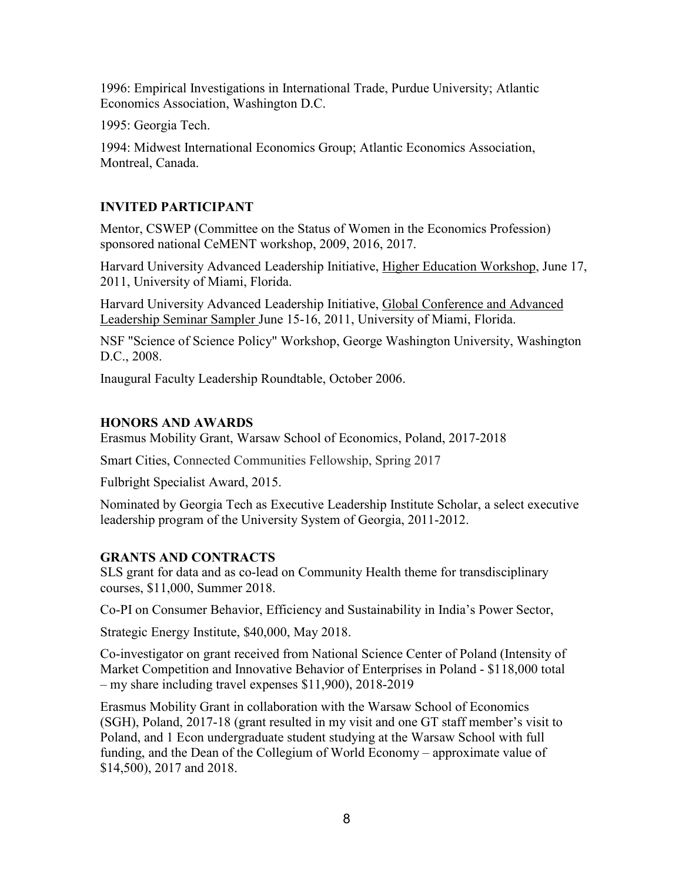1996: Empirical Investigations in International Trade, Purdue University; Atlantic Economics Association, Washington D.C.

1995: Georgia Tech.

1994: Midwest International Economics Group; Atlantic Economics Association, Montreal, Canada.

# **INVITED PARTICIPANT**

Mentor, CSWEP (Committee on the Status of Women in the Economics Profession) sponsored national CeMENT workshop, 2009, 2016, 2017.

Harvard University Advanced Leadership Initiative, Higher Education Workshop, June 17, 2011, University of Miami, Florida.

Harvard University Advanced Leadership Initiative, Global Conference and Advanced Leadership Seminar Sampler June 15-16, 2011, University of Miami, Florida.

NSF "Science of Science Policy" Workshop, George Washington University, Washington D.C., 2008.

Inaugural Faculty Leadership Roundtable, October 2006.

# **HONORS AND AWARDS**

Erasmus Mobility Grant, Warsaw School of Economics, Poland, 2017-2018

Smart Cities, Connected Communities Fellowship, Spring 2017

Fulbright Specialist Award, 2015.

Nominated by Georgia Tech as Executive Leadership Institute Scholar, a select executive leadership program of the University System of Georgia, 2011-2012.

# **GRANTS AND CONTRACTS**

SLS grant for data and as co-lead on Community Health theme for transdisciplinary courses, \$11,000, Summer 2018.

Co-PI on Consumer Behavior, Efficiency and Sustainability in India's Power Sector,

Strategic Energy Institute, \$40,000, May 2018.

Co-investigator on grant received from National Science Center of Poland (Intensity of Market Competition and Innovative Behavior of Enterprises in Poland - \$118,000 total – my share including travel expenses \$11,900), 2018-2019

Erasmus Mobility Grant in collaboration with the Warsaw School of Economics (SGH), Poland, 2017-18 (grant resulted in my visit and one GT staff member's visit to Poland, and 1 Econ undergraduate student studying at the Warsaw School with full funding, and the Dean of the Collegium of World Economy – approximate value of \$14,500), 2017 and 2018.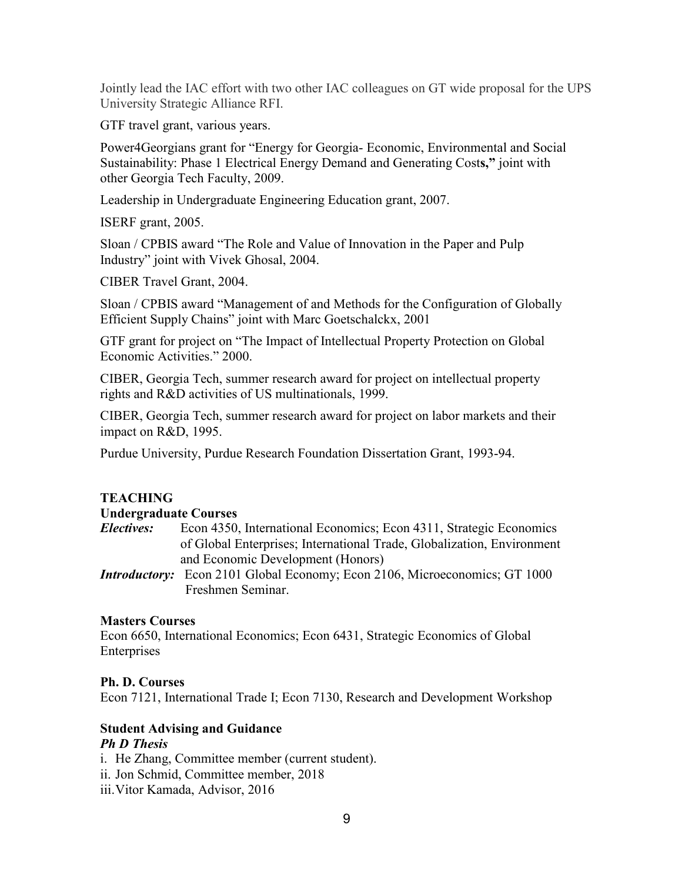Jointly lead the IAC effort with two other IAC colleagues on GT wide proposal for the UPS University Strategic Alliance RFI.

GTF travel grant, various years.

Power4Georgians grant for "Energy for Georgia- Economic, Environmental and Social Sustainability: Phase 1 Electrical Energy Demand and Generating Cost**s,"** joint with other Georgia Tech Faculty, 2009.

Leadership in Undergraduate Engineering Education grant, 2007.

ISERF grant, 2005.

Sloan / CPBIS award "The Role and Value of Innovation in the Paper and Pulp Industry" joint with Vivek Ghosal, 2004.

CIBER Travel Grant, 2004.

Sloan / CPBIS award "Management of and Methods for the Configuration of Globally Efficient Supply Chains" joint with Marc Goetschalckx, 2001

GTF grant for project on "The Impact of Intellectual Property Protection on Global Economic Activities." 2000.

CIBER, Georgia Tech, summer research award for project on intellectual property rights and R&D activities of US multinationals, 1999.

CIBER, Georgia Tech, summer research award for project on labor markets and their impact on R&D, 1995.

Purdue University, Purdue Research Foundation Dissertation Grant, 1993-94.

# **TEACHING**

#### **Undergraduate Courses**

- *Electives:* Econ 4350, International Economics; Econ 4311, Strategic Economics of Global Enterprises; International Trade, Globalization, Environment and Economic Development (Honors)
- *Introductory:* Econ 2101 Global Economy; Econ 2106, Microeconomics; GT 1000 Freshmen Seminar.

# **Masters Courses**

Econ 6650, International Economics; Econ 6431, Strategic Economics of Global Enterprises

#### **Ph. D. Courses**

Econ 7121, International Trade I; Econ 7130, Research and Development Workshop

# **Student Advising and Guidance** *Ph D Thesis*

i. He Zhang, Committee member (current student). ii. Jon Schmid, Committee member, 2018 iii.Vitor Kamada, Advisor, 2016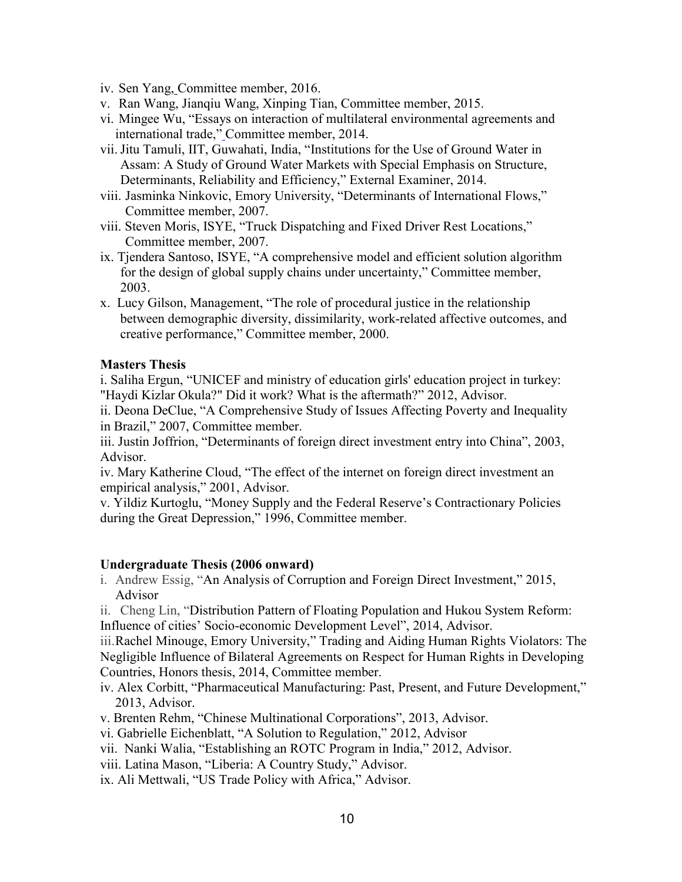- iv. Sen Yang, Committee member, 2016.
- v. Ran Wang, Jianqiu Wang, Xinping Tian, Committee member, 2015.
- vi. Mingee Wu, "Essays on interaction of multilateral environmental agreements and international trade," Committee member, 2014.
- vii.Jitu Tamuli, IIT, Guwahati, India, "Institutions for the Use of Ground Water in Assam: A Study of Ground Water Markets with Special Emphasis on Structure, Determinants, Reliability and Efficiency," External Examiner, 2014.
- viii. Jasminka Ninkovic, Emory University, "Determinants of International Flows," Committee member, 2007.
- viii. Steven Moris, ISYE, "Truck Dispatching and Fixed Driver Rest Locations," Committee member, 2007.
- ix. Tjendera Santoso, ISYE, "A comprehensive model and efficient solution algorithm for the design of global supply chains under uncertainty," Committee member, 2003.
- x. Lucy Gilson, Management, "The role of procedural justice in the relationship between demographic diversity, dissimilarity, work-related affective outcomes, and creative performance," Committee member, 2000.

#### **Masters Thesis**

i. Saliha Ergun, "UNICEF and ministry of education girls' education project in turkey: "Haydi Kizlar Okula?" Did it work? What is the aftermath?" 2012, Advisor.

ii. Deona DeClue, ["A Comprehensive Study of Issues Affecting Poverty and Inequality](https://smartech.gatech.edu/handle/1853/16246)  [in Brazil," 2007, Committee member.](https://smartech.gatech.edu/handle/1853/16246)

iii. Justin Joffrion, "Determinants of foreign direct investment entry into China", 2003, Advisor.

iv. Mary Katherine Cloud, "The effect of the internet on foreign direct investment an empirical analysis," 2001, Advisor.

v. Yildiz Kurtoglu, "Money Supply and the Federal Reserve's Contractionary Policies during the Great Depression," 1996, Committee member.

#### **Undergraduate Thesis (2006 onward)**

i. Andrew Essig, "An Analysis of Corruption and Foreign Direct Investment," 2015, Advisor

ii. Cheng Lin, "Distribution Pattern of Floating Population and Hukou System Reform: Influence of cities' Socio-economic Development Level", 2014, Advisor.

iii.Rachel Minouge, Emory University," Trading and Aiding Human Rights Violators: The Negligible Influence of Bilateral Agreements on Respect for Human Rights in Developing Countries, Honors thesis, 2014, Committee member.

- iv. Alex Corbitt, "Pharmaceutical Manufacturing: Past, Present, and Future Development," 2013, Advisor.
- v. Brenten Rehm, "Chinese Multinational Corporations", 2013, Advisor.

vi. Gabrielle [Eichenblatt, "](https://oscar.gatech.edu/pls/bprod/bwlkosad.P_FacSelectAtypView?xyz=MjQ2MjU1OQ==)A Solution to Regulation," 2012, Advisor

vii. Nanki Walia, "Establishing an ROTC Program in India," 2012, Advisor.

viii. Latina Mason, "Liberia: A Country Study," Advisor.

ix. Ali Mettwali, "US Trade Policy with Africa," Advisor.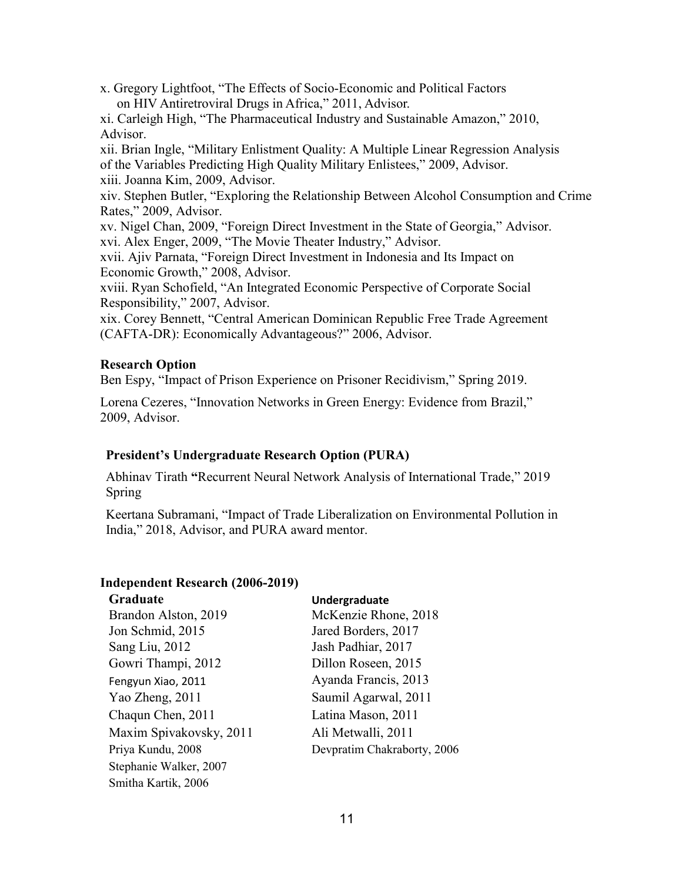x. Gregory Lightfoot, "The Effects of Socio-Economic and Political Factors on HIV Antiretroviral Drugs in Africa," 2011, Advisor.

xi. Carleigh High, "The Pharmaceutical Industry and Sustainable Amazon," 2010, Advisor.

xii. Brian Ingle, "Military Enlistment Quality: A Multiple Linear Regression Analysis of the Variables Predicting High Quality Military Enlistees," 2009, Advisor. xiii. Joanna Kim, 2009, Advisor.

xiv. Stephen Butler, "Exploring the Relationship Between Alcohol Consumption and Crime Rates," 2009, Advisor.

xv. Nigel Chan, 2009, "Foreign Direct Investment in the State of Georgia," Advisor. xvi. Alex Enger, 2009, "The Movie Theater Industry," Advisor.

xvii. Ajiv Parnata, "Foreign Direct Investment in Indonesia and Its Impact on Economic Growth," 2008, Advisor.

xviii. Ryan Schofield, "An Integrated Economic Perspective of Corporate Social Responsibility," 2007, Advisor.

xix. Corey Bennett, "Central American Dominican Republic Free Trade Agreement (CAFTA-DR): Economically Advantageous?" 2006, Advisor.

# **Research Option**

Ben Espy, "Impact of Prison Experience on Prisoner Recidivism," Spring 2019.

Lorena Cezeres, "Innovation Networks in Green Energy: Evidence from Brazil," 2009, Advisor.

# **President's Undergraduate Research Option (PURA)**

Abhinav Tirath **"**Recurrent Neural Network Analysis of International Trade," 2019 Spring

Keertana Subramani, "Impact of Trade Liberalization on Environmental Pollution in India," 2018, Advisor, and PURA award mentor.

# **Independent Research (2006-2019)**

| Graduate                | Undergraduate               |
|-------------------------|-----------------------------|
| Brandon Alston, 2019    | McKenzie Rhone, 2018        |
| Jon Schmid, 2015        | Jared Borders, 2017         |
| Sang Liu, 2012          | Jash Padhiar, 2017          |
| Gowri Thampi, 2012      | Dillon Roseen, 2015         |
| Fengyun Xiao, 2011      | Ayanda Francis, 2013        |
| Yao Zheng, 2011         | Saumil Agarwal, 2011        |
| Chaqun Chen, 2011       | Latina Mason, 2011          |
| Maxim Spivakovsky, 2011 | Ali Metwalli, 2011          |
| Priya Kundu, 2008       | Devpratim Chakraborty, 2006 |
| Stephanie Walker, 2007  |                             |
| Smitha Kartik, 2006     |                             |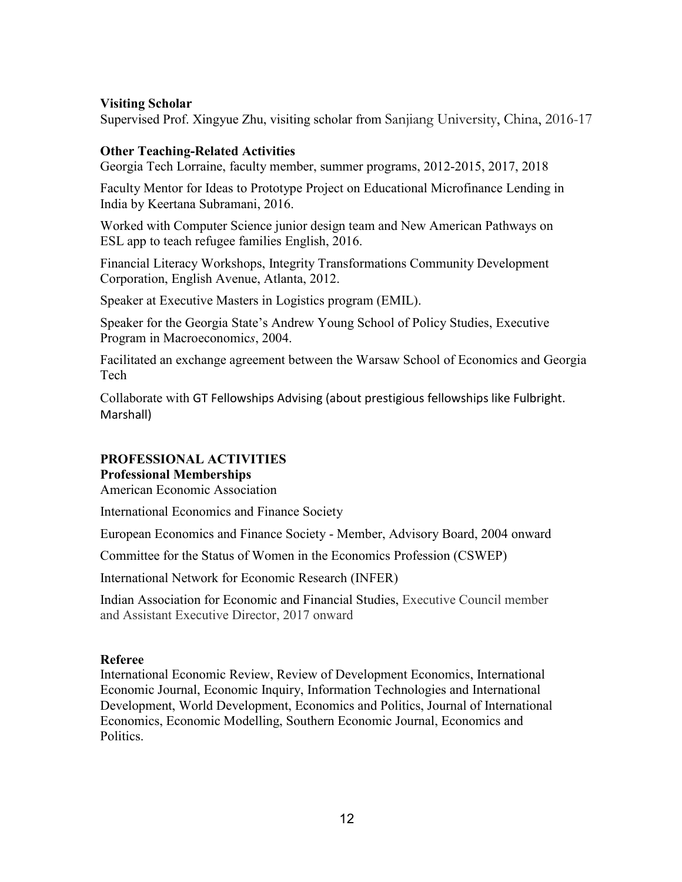# **Visiting Scholar**

Supervised Prof. Xingyue Zhu, visiting scholar from Sanjiang University, China, 2016-17

#### **Other Teaching-Related Activities**

Georgia Tech Lorraine, faculty member, summer programs, 2012-2015, 2017, 2018

Faculty Mentor for Ideas to Prototype Project on Educational Microfinance Lending in India by Keertana Subramani, 2016.

Worked with Computer Science junior design team and New American Pathways on ESL app to teach refugee families English, 2016.

Financial Literacy Workshops, Integrity Transformations Community Development Corporation, English Avenue, Atlanta, 2012.

Speaker at Executive Masters in Logistics program (EMIL).

Speaker for the Georgia State's Andrew Young School of Policy Studies, Executive Program in Macroeconomic*s*, 2004.

Facilitated an exchange agreement between the Warsaw School of Economics and Georgia Tech

Collaborate with GT Fellowships Advising (about prestigious fellowships like Fulbright. Marshall)

# **PROFESSIONAL ACTIVITIES**

# **Professional Memberships**

American Economic Association

International Economics and Finance Society

European Economics and Finance Society - Member, Advisory Board, 2004 onward

Committee for the Status of Women in the Economics Profession (CSWEP)

International Network for Economic Research (INFER)

Indian Association for Economic and Financial Studies, Executive Council member and Assistant Executive Director, 2017 onward

# **Referee**

International Economic Review, Review of Development Economics, International Economic Journal, Economic Inquiry, Information Technologies and International Development, World Development, Economics and Politics, Journal of International Economics, Economic Modelling, Southern Economic Journal, Economics and Politics.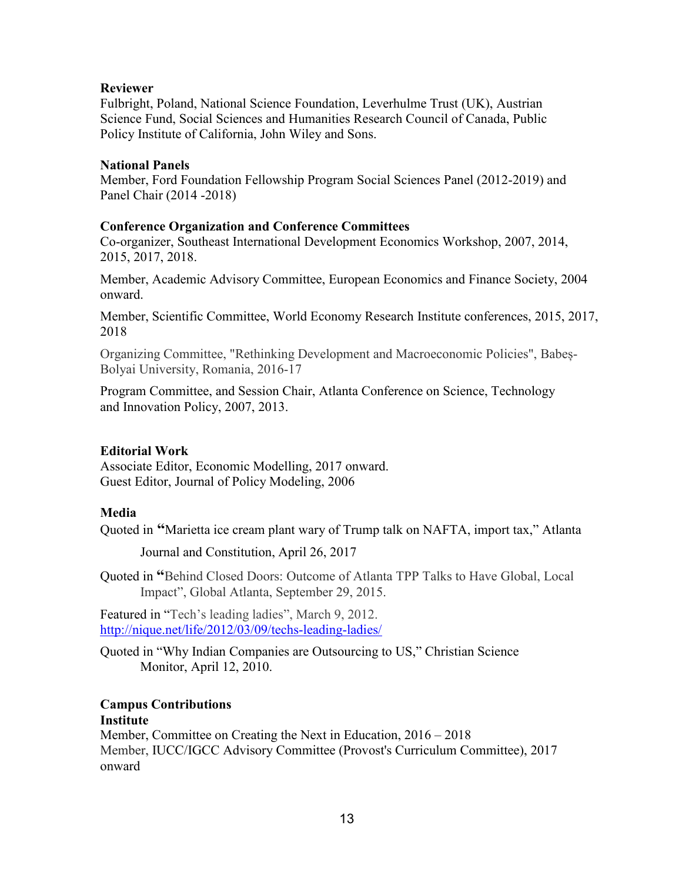#### **Reviewer**

Fulbright, Poland, National Science Foundation, Leverhulme Trust (UK), Austrian Science Fund, Social Sciences and Humanities Research Council of Canada, Public Policy Institute of California, John Wiley and Sons.

#### **National Panels**

Member, Ford Foundation Fellowship Program Social Sciences Panel (2012-2019) and Panel Chair (2014 -2018)

#### **Conference Organization and Conference Committees**

Co-organizer, Southeast International Development Economics Workshop, 2007, 2014, 2015, 2017, 2018.

Member, Academic Advisory Committee, European Economics and Finance Society, 2004 onward.

Member, Scientific Committee, World Economy Research Institute conferences, 2015, 2017, 2018

Organizing Committee, "Rethinking Development and Macroeconomic Policies", Babeș-Bolyai University, Romania, 2016-17

Program Committee, and Session Chair, Atlanta Conference on Science, Technology and Innovation Policy, 2007, 2013.

# **Editorial Work**

Associate Editor, Economic Modelling, 2017 onward. Guest Editor, Journal of Policy Modeling, 2006

# **Media**

Quoted in **"**Marietta ice cream plant wary of Trump talk on NAFTA, import tax," Atlanta

Journal and Constitution, April 26, 2017

Quoted in **"**Behind Closed Doors: Outcome of Atlanta TPP Talks to Have Global, Local Impact", Global Atlanta, September 29, 2015.

Featured in "Tech's leading ladies", March 9, 2012. <http://nique.net/life/2012/03/09/techs-leading-ladies/>

Quoted in "Why Indian Companies are Outsourcing to US," Christian Science Monitor, April 12, 2010.

# **Campus Contributions**

#### **Institute**

Member, Committee on Creating the Next in Education, 2016 – 2018 Member, IUCC/IGCC Advisory Committee (Provost's Curriculum Committee), 2017 onward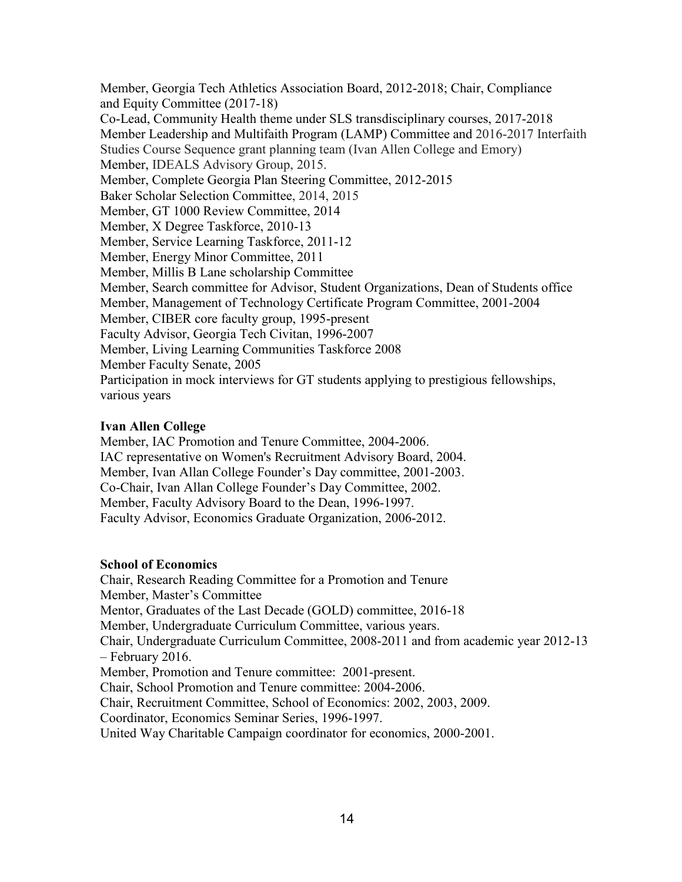Member, Georgia Tech Athletics Association Board, 2012-2018; Chair, Compliance and Equity Committee (2017-18) Co-Lead, Community Health theme under SLS transdisciplinary courses, 2017-2018 Member Leadership and Multifaith Program (LAMP) Committee and 2016-2017 Interfaith Studies Course Sequence grant planning team (Ivan Allen College and Emory) Member, IDEALS Advisory Group, 2015. Member, Complete Georgia Plan Steering Committee, 2012-2015 Baker Scholar Selection Committee, 2014, 2015 Member, GT 1000 Review Committee, 2014 Member, X Degree Taskforce, 2010-13 Member, Service Learning Taskforce, 2011-12 Member, Energy Minor Committee, 2011 Member, Millis B Lane scholarship Committee Member, Search committee for Advisor, Student Organizations, Dean of Students office Member, Management of Technology Certificate Program Committee, 2001-2004 Member, CIBER core faculty group, 1995-present Faculty Advisor, Georgia Tech Civitan, 1996-2007 Member, Living Learning Communities Taskforce 2008 Member Faculty Senate, 2005 Participation in mock interviews for GT students applying to prestigious fellowships, various years

# **Ivan Allen College**

Member, IAC Promotion and Tenure Committee, 2004-2006. IAC representative on Women's Recruitment Advisory Board, 2004. Member, Ivan Allan College Founder's Day committee, 2001-2003. Co-Chair, Ivan Allan College Founder's Day Committee, 2002. Member, Faculty Advisory Board to the Dean, 1996-1997. Faculty Advisor, Economics Graduate Organization, 2006-2012.

# **School of Economics**

Chair, Research Reading Committee for a Promotion and Tenure Member, Master's Committee Mentor, Graduates of the Last Decade (GOLD) committee, 2016-18 Member, Undergraduate Curriculum Committee, various years. Chair, Undergraduate Curriculum Committee, 2008-2011 and from academic year 2012-13 – February 2016. Member, Promotion and Tenure committee: 2001-present. Chair, School Promotion and Tenure committee: 2004-2006. Chair, Recruitment Committee, School of Economics: 2002, 2003, 2009. Coordinator, Economics Seminar Series, 1996-1997. United Way Charitable Campaign coordinator for economics, 2000-2001.